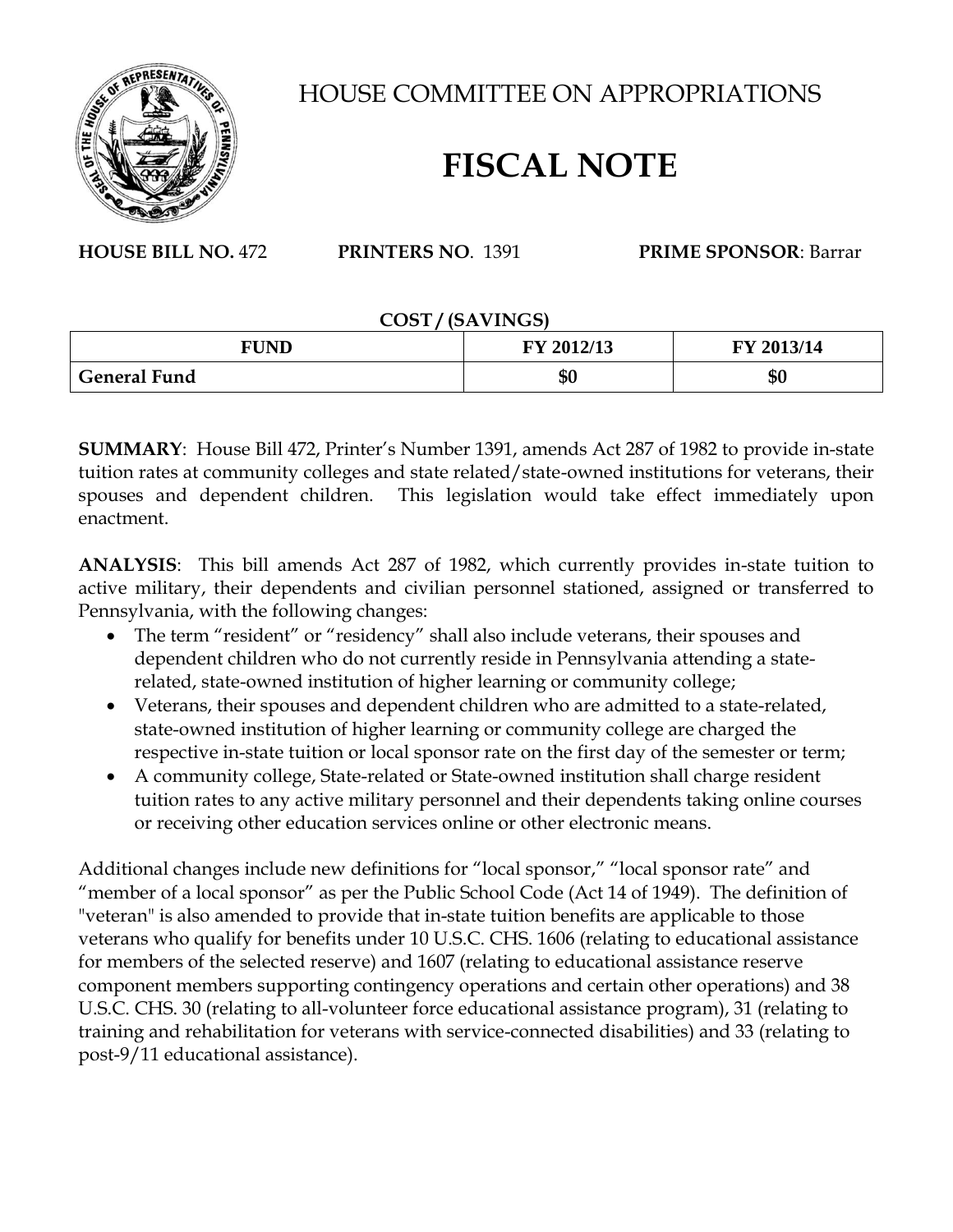

HOUSE COMMITTEE ON APPROPRIATIONS

## **FISCAL NOTE**

**HOUSE BILL NO.** 472 **PRINTERS NO**. 1391 **PRIME SPONSOR**: Barrar

## **COST / (SAVINGS)**

| <b>FUND</b>         | FY 2012/13 | FY 2013/14 |
|---------------------|------------|------------|
| <b>General Fund</b> | ጦ (<br>Jυ  | \$0        |

**SUMMARY**: House Bill 472, Printer's Number 1391, amends Act 287 of 1982 to provide in-state tuition rates at community colleges and state related/state-owned institutions for veterans, their spouses and dependent children. This legislation would take effect immediately upon enactment.

**ANALYSIS**: This bill amends Act 287 of 1982, which currently provides in-state tuition to active military, their dependents and civilian personnel stationed, assigned or transferred to Pennsylvania, with the following changes:

- The term "resident" or "residency" shall also include veterans, their spouses and dependent children who do not currently reside in Pennsylvania attending a staterelated, state-owned institution of higher learning or community college;
- Veterans, their spouses and dependent children who are admitted to a state-related, state-owned institution of higher learning or community college are charged the respective in-state tuition or local sponsor rate on the first day of the semester or term;
- A community college, State-related or State-owned institution shall charge resident tuition rates to any active military personnel and their dependents taking online courses or receiving other education services online or other electronic means.

Additional changes include new definitions for "local sponsor," "local sponsor rate" and "member of a local sponsor" as per the Public School Code (Act 14 of 1949). The definition of "veteran" is also amended to provide that in-state tuition benefits are applicable to those veterans who qualify for benefits under 10 U.S.C. CHS. 1606 (relating to educational assistance for members of the selected reserve) and 1607 (relating to educational assistance reserve component members supporting contingency operations and certain other operations) and 38 U.S.C. CHS. 30 (relating to all-volunteer force educational assistance program), 31 (relating to training and rehabilitation for veterans with service-connected disabilities) and 33 (relating to post-9/11 educational assistance).